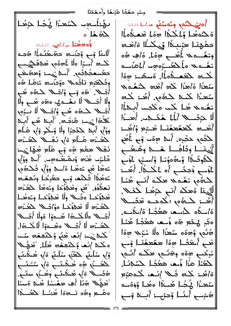ومَّم حمَّحًا هَبَّمًا وأُهمَّتَنَا لَّهُٰٓٓٓٓ نَا۔ مِنْ اللَّهُ مُ اللَّهُ مِنْ اللَّهُ مِنْ اللَّهُ مِنْ اللَّهُ مِنْ اللَّهُ مِنْ الْ أوت من الماء المستقوم المستعمل المستعمل المستعمل المستعمل المستعمل المستعمل المستعمل المستعمل المستعمل المستعمل هُكْتُمُعا وُلِمُكُمُّا هُمْا شَعْدُهِ الْمُ  $\star$  la or  $14.1.23$   $\longleftrightarrow$   $1.1.23$ حكَمْهَا مُبْسِنُهُ أَمْسِيْهِ الْمُهْمَد أَلَّامِلًا فَإِن بِمَجْتَدِهِ حَدَّمَتُوَجَدًا وَأَجِيدِهِ وتمُّـــه لا لأهُـــــ «هُا. هُ/ُ وهُ هُ لكسب أُسبًا هالا مُلْهَدُوبِ هَلِمَكُنْ وَسَبِيحِ تَمُّـه ما ما كَعَّـبِهِ مِنْ أَلِمَّتُــه تَعَمَّسُمِجُمْهِمْ مِنْ أَمَــهِمْ يَهْمِمُ مِنْ يَهْمَ مِنْ مَنْ يَهْمَ لَكْتُ لَحْقَقَ الْمُؤَالِ وَسَيَقَاءَ وَوَٰ وٕفُلاشۡو للۡقَمال ووۡجُنَــو عَرَضًا وَّه مَعِدُا وَاهِدًا كَلَّهِ أَهْدِهِ لِمَعْدِم أُبْسِلاً. ۚ هُه وۡ إِس لَهُ إِنَّهُ لَا مَهُ مَعۡعَلَمُ لَهُ مَعۡعَلَمُ مَعْدُا كَمَنَّهُ كَمُوْهِ, أَهُدْ كُمْهِ وَلَا أَبْــــــلا لَا ىــقَـــــم} هو هُم هُـــــع وَلَا تعُديه هُل كُب وكْجِب أُبْتِكِماً أُجْبِي لِمَسْمَهُ مَنْ ذَاجْبِي لَا سَبْرَهِ، لًا حَزَتُمِــــــا أَلَمِيلِ هُكَــــدِ. أُهـــزُا كَلَّاهُ أَيْسِمَ هَٰذِيْدِهِ. "أَبْدَ هُمِ أَبْدَ أقده كمعمَّعمُنْدا شَـْمِع وُاهَد: وَوَّلَ أَبَدَ حَكَجَزًا وَلَا وَّحَكِّرٍ وَلَى هُـأَمَرَ لْمَشُّهِ لِمَشْرِهِ. أَلَمْ هِهُمْ فِي لَمُعْ لَهُمْ أَوْ هُمْ أَوْ مَا لَهْمِ لَا لَهُمْ أَوْ لَهُمْ مِنْ لُاَيِسْا وَدًاهُــا هَـــهِ وَهُىعُـــمِ سُمِّلًا مَعْكُمْ وَهُمْ وَهُمْ وَهُمْ يَحْمَلُونَ مِنْ الْمَجْمَعَةِ  $\sqrt[3]{2}$ جُلَبُ - هُنْزَه وَّلصَّعْبِهِ فَلِي مَنْ  $\sim$   $\sim$   $\sim$ لْمَكْفِي مُلْكُمْ أَوْ مِنْهُ مِهْشَا ۚ وَٱسْتَىٰ ۖ لَاوْسِي كَمِعْلِ هُمْ كَمِعْدَلِ وَٱسْطِ وَوُٱل شُكْلَةُ مِ لْمُوْسِ وْحِكْسٍ أَه لْمُحْكِمَّالِ أُهْسَعَ عَمْدُا ثَكْلُم بْبِ حَعْرِكُمْ وَلَحِمْـُهُ لَحْدُهُ وَعُدُمَهُ مَكْتُمْ أَنْبَ هَٰنُـا لَعَكَٰاؤُو. ۚ ثَمِ وِتَعَجَوۡ ُكَا وِعَاهُا ۖ حَفُـٰٓ ٱنَّ لَّكِيمًا هَمحْكَ أَنْبِ حَبْمُا حَدْهَا. تَعَجَوۡكَـٰـا ۖ مَجَـُـٰلا ۖ فِلاَ فَحَجۡوَٰٓكَـٰا ۖ وَعَمَعُـٰا ۖ أهُد: ﴿ هُوَى الْمُحْمَدِ هُدًى ۖ لَا لِكْتُرْوِهِ لَلْ تَعْجَزُوْنِيا وَوُاجْبِيْلا لِكْفُتْرُوهِ ة/سلَمه للأوسع هعُجُل ة/مَلَّم أُجْبِ وَلَا كُنْ وَٰا فَصَدَوْا وَٰوِلًا أَجْبِيَكَ وكِّرِ لِكُمْ وَهُو وُّسْعَا هَمْجُا هَٰنَا لِحَقَّـٰٓ; هَ لَا أُجْـِـلا وَهُــوَةٍ لَا لَكُــوَٰا لِ  $\int$ ( $\phi$ ) ( $\phi$ ) ( $\phi$ ) ( $\phi$ ) ( $\phi$ ) ( $\phi$ ) ( $\phi$ ) ( $\phi$ ) ( $\phi$ ) ( $\phi$ ) ( $\phi$ ) ( $\phi$ ) ( $\phi$ ) ( $\phi$ ) ( $\phi$ ) ( $\phi$ ) ( $\phi$ ) ( $\phi$ ) ( $\phi$ ) ( $\phi$ ) ( $\phi$ ) ( $\phi$ ) ( $\phi$ ) ( $\phi$ ) ( $\phi$ ) ( $\phi$ ) ( $\phi$ ) ( $\phi$ ) ( $\phi$ ) ( $\phi$ ) ( $\phi$ ) لىند چېقىق ئون بىلى ئىس ئىكى  $\lambda$ هَــم أَــعْتُــا هِهُا همّعمُنْـا وْــم ەڭىلا /ئە ۆڭئېقە ھُلْل ْمْدَىلا بُبِكُبِ ۞هُ٥ وِ۞سُم مكْلُه أَلْسُم ۋْلْ سُأَسِّعْ لِلْكُلَّةِ سُأَسَّعْ 16ْ هُنگَسَّعْ لِكْفَمُا هِزًا وُسِعٍ هِعْجُلِ لِكَتَبِهِنَـلٍ كَعْنَ وَهُمْ مُعَنِّفُكَ وَفَى مَمَّتَكَمَّ شُمْلًا ۞ لَا شَاهَّفٌ وَهُــَوْ، مَفَــَمْ، ةاهٌ : كَذْهُ شَكَّلُ إِنَّـمٍ گُدْهِ مِنْ ُقْتُوْلًا هُنَا أَفِ هَمَّسُا هُنْهِ هَنْدًا مَعْدُرُا لِمُجُلِّ هُمْنُدًا وهُما وُوَوَّمُ وصُـع وَوْهِ تَــوهُ هُزْـَـا كَعَْـــةِا ھُتِنے اُننے وَجرَّے: اُنے وَسے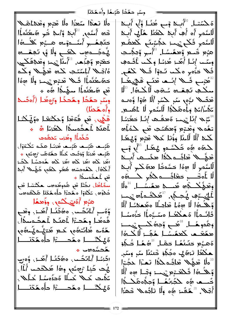ومَمْرٍ حَمَّحُل هَٰزُمِهُل وأُه هَٰذَنْل

وَلَا تَعَذَا مَعْدُا وَلَا مْتِرَمٍ وَمُتَطَلِّصَلاً خْمَه أَمِنُهِ,  $\widetilde{f}^{22}$ بَطْ وَّامِطْ خُبِرٍ هَمْعِنُدْمَاً حَلَّهِمُ بِنَ أَمَّدُوهُ مِنْ وَالَّذِينَ اللَّهُ الْمُسْتَدَاءُ ا صْـــْمَـٰبْ مِالَا فَهِ سَٰحِمْـــه حَضْرَم وَجَنَمٍ.  $\int_0^{23}$ مِمَّا يَهِمْ وَشَدَاعَكَمِي هُ/بْمِلا ٱلْمِمْسُدِ نَكْرُه تَعَهُّلاً وِكْمُ حَدَّمَعُنُمَا أَشَـــلاً هُــْتِم يَـــزِ وَلَا هِمَا ا هُم رَهُ مَعُنُواً مِيْهُما أَوْهِ ﴾ وميّ حمّجُل وممّحجُل ورّوهُما (أُوصّم وأه هُكِمُل) فَلَى . مْعِ فُةمْا وَحكْتْعْا هَوْنَى كَمَا أهلَمْ أَحْدُدْ الْمُدَارِّةُ ﴾ كُنُه أُل وهُن كَدهُه بِ هُرَــــــه هُرَـــــه هُــَـــه هُــَــه هــُـــه مَــُـــّــة وَالِ هُرُمِهِ هُزِيُّا وُوَصَّتِ كَيْلًا حَقَّةَهُمْ رُهِيَّهِ \* اهُد: لکه اهُد: لکه اهُد: لکه هُوصُل لحَصَّد أَكْمَٰا. كَمُوجشه هُعُو كَعُو كُهُلا أَبِهِ هُم أَحدُّدمهُ! ﴾ مِمْلَهُا. بِدَتْا هُمْ هُومُوهب هِكْتِسَا هُمْ حُمْوْهِ . كَثْنَوْا مِمَحْرَا حاُمِمَّتْنَا مَكْفُوهِبْ هَزُم أَهْيَ كُنُورٍ . وِؤُهِمًا وٖۡہٞٮڹ ٱلۡلَّکُــٰبِ ۚ ہٖہٗکَنُـٰا اُهَٰـۃٖ؞ وِهُــٰمِ فَعمُدا وِهَدِيْٓا ٰ اُعنُـٰه اْحِدُّـٰءمِدَّا ِ. مِمَّمَــهِ هُــاتِمَهُ مِــدَ مِمَّتَابِـهِ صَمَّمَــهِ هُ لِكُنْـــــــا ممُحَــــــــٓ;ا حاْهِ هُنْنَـــــا هُدشُه ها \* اكْنْسَا ٱلْمُكَّــٰب هِ هُكْسًا ٱهْــز. وُهرب يُت خَذِا رُهِنُم وهُا هُكْتَتت ٱلْمَالِ. حَكَمت حَملاً حَمَلًا هَدَهُ مَمَا حُمَلِهِ . ه يحتب المستقلة التي تحت المستقل التي تصريح التي تصريح التي تصريح التي تصريح التي تصريح التي تصريح ا

هَ كَمَسْمًا. "أَبْدَ فِي هُنُا وَلَى أَبَدَ لَّامْدَمِ أَه أَبْ أَبَدْ حَمْدًا هُأَلِي أَبَد لَّامْعَةِ فَكُمْ يَحِبَّ حَجَّمَتِهِ كَتَّقَوْمِ هِ ۭٛم ۘ ذُـم ۚ وَمَعْمَمُ ۚ إِنَّ أَمْـِرٍ ۖ وَجَدَّمَـ وَمَمَّــد )ِنُــا أُهَّــز هُـْ;نُــا وِـكُــد لْمُشَـدف ثُلا دَنُوبِ وكُـد نُـوْءٍا ثُـلا كَـمُـم. أَهْبَسِم شَكَّلاً إنْسَمَا هَنَّامٍ قَدْلِكُمْ ا مكْثِ تُجِمْع صُدْهِ لِأَكْرَهُ لِ هَتُملأ بِرُودٍ مَيْ كُمُي أَلَّا هُوْا وُوتِ حَدَّاءُ} وَأَوْهَٰكُمُ! لِّامْدُو لِّا لِمَصْحِرٍ. أَسْرَحِ النَّارِ مَعْدَّمَة مِنْ النَّارِ مِيْتًا اللَّهَ مِنْ النَّارِ مِيْتًا تَعْمَلا وَتَعْتَرِمْ وَمَعْضَبْ تَعْمِ لَكُمَلُوهِ كُنهُ أَلَّا لَّاسًا وَذُنَا كَكُلُّ مْتَرَمٍ وَلِمَحَالِ  $\overline{\mathcal{L}}$ ە ۋە كَكْسُمْ لِكَمْل  $\mathcal{L}$  وْم هَوْ َ لَا مُائِــهِ حَذَٰا مِحَـــه أَبَــٰه لَّامْدَمِ لَّا هِوَٰا حَسَّدَخًا هِدَهُ كَجِرٍ أَبْتِهِ لًا ـَلُوخْـــــــر حَعْلاَجْــــــمكمُبر ـكــــــوَّە وْهَدْيُكْـــدْوْهِ هُـــــدِ هِـمُّـنْـــا. "هْلًا أَلِيُ بَهِ لِمُجِمَّهِ. ٱلْعَلَّقُواْهِ يَهِ مَ وَإِلاَّكُ هَا لَا هِهْا مَعْلَمِي اللَّهُ مَعْمَدَ الْمَلَّا تُالَّـمِلَّا هَـعَـُـْهُــا مِـمَّـبُومِلَّا حَزْمِمُــا وِهُومِ هُــا. فَتَمَـــو وَجِهُ كَنَـــو يَهِـــز هِمَعْتِ مِهْ كَهِمْشَا هُجًا: لَا كُلُّ هُا ەَھېْم حَسُسُمًا حَصْاً. <sup>19</sup>ھُـ*ھُـ*ا خُـكِ<mark>ّذِ</mark> هڭھُا نْزْهَلْ هِجُلُو خْسْنُا مَبْرٍ وِمَبْرٍ. <sup>00</sup>هلًا هَجُم هُلجَه حَدًا تمرَّا حجَّةِا وَكِلْمُ الْمُحْشَرْمِ يَهْدَ وَجْلَ وَهِ ٱلْلَّ تُمـــم ۞ه حجَّرْتُمُــا وَجِدُّهِكَـــدًا أُبْحِلا. <sup>21</sup> هُقُم: ﴿ وَلَا تَائُمِيا ۖ تَعْزُا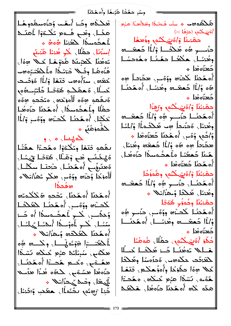ومَّم حمَّحًا هَ<sub>َن</sub>ْمًا وأُهمَّتَنَا

تَعَلَّـٰٰٓكُلَّاهِ ۚ وَكُـٰٓ; أَنَّـَفْتَ وَّدَّةُ مَنْقُدُونَ مُنْظَ هَدُا. وِمْبِ فُ9ْ0 كُنْـةَوْا لْمَنْكُلْمْ أَهْدُه مِدًا لَكْتُنَا أَمُّوتُهُ ﴾ إِسْتَمَالِ حَمَّلًا. كُمْ هُزْمًا هُزْمَعٌ مُعطُّل كَعبَسَه هُمزِهَا حَملاً وهُا. فُزْهِكُمْ وَشَيْلًا مِلْكَفَنَهُ وَهُ مَالِيَهِ وَالْمَسْتَدَارُوهُ مِنْ كَعْدَهِ . مِدَأَهُ هِ دَتْهَا وَٱلْمَا هُوَصَّت كْسُلًا. هُ هَهُكُمْ هُوْسُل دُلْتَرْسُوْهِ، كَ مَعْمِدِ هِ مَنْ الْأُوجْدِهِ . وكَشْحِدِ هِ مَوْهِ حفُلًا ولْمحْدمحُا. أُوهَدْنَا حَزَوهُا تَكْتَلَ أَوْهَدَنَا كَدَرْو وَوَوَّبِ وْلَمَلْ لِمُقُومُهُمْ \*  $, \circ$ . الملي ه ىفّعو ثتقا وككّتوْا ممّحـــٰٓا ـمقَـّٰـا هْكِـكُـسٌـمِ هُـمِ وْهَـلْهِ. هُـتَوْصًا وَيُـمُـلْ. ۇھنّۈفَى أەھّىئا. دْتِصْا مىڭا. لْلُّەفِكْلُ وَحَنَّ وَوَوَّىمَ مِلَّى مَعْزَاتِيْلَا مُ  $\int_{\mathbb{A}}^{\infty}$ أُه هَٰديُا أُه هَٰديُا. يُحْجِمِ ۞ تَكُلُّه يُهِ ݣْحِبْرُه وِوَوْسِرٍ. أُوهَكْنَا ݣَعْلَاجُنَا وَجَدَنُكِ بِنَ الْمُحَسَّمَتِيهِ أَوْ كُنْ مَنْـا. كُـرِ لَمُوَمِّـدُا أَحدْـا حَائـا. أهككل لمكلته ومعاناته لَمْعَنَّـــــْ إِلَّا هُوْشُمْ فَــــــــا بِ وَحْـــــــوهِ وَهُو هڭەب. سُبِئائە ھۇم ئىندە ئتىما همْــةم. ەڭــــــر مُحــــرّا أەمكىـــا. دَوْهُا هِمَدْمِ وَلَادَةُ هُدًا هِدَمَ \* المْمَانْصِرْ لِمِثْمٍ . بِلْقَرِيَةً كَزِلمْ رُوهِتُم، بِحَثَمَلًا. حَمَّكَتِ وَاكْرْتُلْ.

هَكْتُفُوهِ \* مِنْ فُوتَكُمُ وقَدْأَهَا وَجُمَّ أَهْتِيكُمْ (حَرْفُا 00) حقبنا والمحكوما وأستق وهُزْسًا. حَكْفُ حَصَّسًا مِحْمَصْنَا كَعْبُوهُا \* أُه هَٰديُا ۖ كَحَزْوه ۚ وَوُهُٮبِ ۖ مَحَادِماً وَهِ هِ هُه وُالْمَا كُعِنْدِ وِهُنْدًا. أُهْمَدْنَا ا حُمْدُوهَا \* ||حمْزِسُلْ وْاهْتِ كُسُورٍ وِرْهِزُا أُه هَٰدُـُــا دَ:ُــــو وَّه وُٱلْمَا كَـعقــــوه وهُٰۂِئلُ: هُحَّۂُدلُّ هِٮ هُكِحُماً الْمُلْمَـٰلِ أَوْ أَشُمِهِ ۚ وَمَّسٍ ۚ أَو هَٰكِنَا ۖ خَعِبَوْهِ ۚ وَ هجَّزداً وه وَه وَالْمَا جُمْعَوه وهُزئل. هَٰىلًا خَمِعَيْـًا وَلَمِدُّوْسِمًّا جَزْوَهُـلَ. أأه هُدبُل حُمْدُوهَا \* |حِمْنُنُا وْاهْنَ كُنُو، وهُووُدًا أُهِ هَٰٓدَٰٮُـًا. حَنُـــوٍ وَهُه وُٱلْمَا خُـعقَـــده إوهُزئل هُكْمًا وُحِعَزُاتِكَ \* ||حمْ;عُاْ وِحُموُّرٖ هَٰذَهَا | أُهمَّدَنُـا كُحِنْتُ وِوَّةَ بِ حَزْمَ وَقُوَّهِ وُالْمَالْكُمْعْنَــْدَهُ وِهُبْئَــْلَ. أُهْمَّدْنُــْلْ | حَمْدُوهُا ﴾ كَكُوْ أَوَّتِيَكُمُو، حِمُّلًا، هُوصُمُّا هَــاللا عَمْنُــا حَــ: هَلاَهُــا مُـــُلا لمُعْرَضَك مِكْدُهِبٍ. ةَجَرَّدَمُنَا وِهُكُمَّا كْمِلا 30\$ حكّْوْكُل وأُهوَّهكُمْ و. قتقال هَدُم، تَتَبَدَّا هَزْمِ يُمَكِّهِ. مَعَجَبَّا هدُه كَلَّه أُه هُدْلُا جَزْهِ هُلْ هَدْهَدُ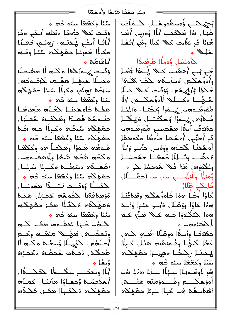ومّم حمّحُا هَبْمُا وأُهمّتِنَا

مَمْلِ وِكَعَمْدِ مَدْهُ دُهِ ﴾ وَثَىت كَتَلَّا تَبُّوتُنَا وَهْلُوهِ ٱمكُنَّ وَجُهْ أَمَّلُنَا أَمَضَ لَمَحْدُه . رَهِنُـم صَـذَا مكْبِلًا هُدوِمُا حقْهِكُ مَمْمًا وِحْد  $\star$  Aojol $\hat{l}$ ەڭىــلا ھَىمْــل ھەّــم كَارْئــەتْ10 . متزكم ترجئه مكرما سباط حفهكه مَمْلَل وَكَعْعْقَلَ مِمَّه دَهِ ﴾ هدُلا خُلقهُدتا لِهُدُوه هزَهروهُا دئَــممّــمْ هُـمـــتْزا وِهُــحْكُـــره ــمّحـــزّا. حڤھِكُلُه مَمْحُـنْه هگـباُّا حُـنْه اجُـكَ حڤئيكله كمُمُل وكَعَنْقُل مِمَّه دْرُه ﴾ فُءمُده مُدوُل ومُكحلِّ ٥٥ وِحُكْمًا ەڭدە ھُكُد ھُىعُل وِلْمُعَقَّدەت. اهَڪِ هُو مِسْزَحُکُ مُڪِ اُلِ مُبِئِّلِ لِ حقهكه مئنا وكقفا مئه ده . لِكْنَسْلًا وُوْتَسِتْ كَتَنْسَلُّهَ الْمَعْمَصَالِ. هُوَهُدْهُقُلْ حَثَّمَهُمْ يُحَجِّلُ. هَدُمْ ەَعمَٰلِكُە ەَلِكَبِلَا مِكَ حِقْمِكُلُو مَمْلَا وِكَعْعْقَا مِمَّه دُه ﴾ لمدهُ و الله عليه عليه عليه وتُھڪُـــةِ . مَديَّـــلا ھئڤــة وكْــــق أُحِزُهُم. حَكَيْبُ أَوْسِعَكُمْ مِكْتُمْ لَلْ هُحكُــدْ. هُ؎هُ صَهُحهُــة هكحــرُة ۇچەل پ أَلَمَّا وِتَحْسَّــر مِنْكَـــولَّا حَكَكَـــدًا. أهلَّاصَمُكُمْ وَحَصَّاؤًا هِزَيْمَاً. كَعَبَّاهَ حڤۿػ۞ ەٚڂػٛۥٜڵٳۄڿڋ؞ػڂػٛۄ

وَحِيْحَكَبِ وَْمَسْفُومِهُا. كَلْتَمَاَّصَد هُنئا. هُا هُكْتُدبِ ٱلْمَا وُونِ. أَهْدَ هُٰذِيُّا ثُمِ يُمُّدِ كَلاَ يُمِلًّا وِهْمٍ إِنْهُـٰا هُامِلاً ﴾ لِأَدْسُلَ. وُدِدَأَا هُرِهُدَاًا هُبِ وْبِ أَهمُنبِ كَتَلَا هُـوَّا وُّهْدَا وأَوزُهكم و وَسِلَم و حَدَّ لَكُوهُ تَعِيْدُهُمْ وَالْمُرْيَحُونَ وَوَصَّتِ كَتَبَعَّلُ تَحَيَّلُنَّا مَّدِيُّ لِمَدْ الْمُؤْمِنْ مِنْ مِنْ الْمَلْكُمُونَ وَالْمَلْكُمُونَ وَالْمَلْكُمُونَ وَالْمَلْكُمُ هُقُوهُـــوهــــ فِي ــوُوا وَيَحَتْــا بِ وَالْمَــا كَمْؤْهِ فِي وَالْمَعْصَدَانِ كَالْمَحْسَلَ حَفَّةَكُبِ ٱلْمُأَلِّ هَـمُّحَسَّبٍ هُـْمِوَهُـٰدَهِت كِّرِ أُهزَّى أَوْهَدْنَا جَزْوَهُا وَكُوهِمَا أُهِ هَٰدُلُمْ لَاحِنَّوْهِ ۚ وَوُهُ ۖ فِي ذَرَ ۖ وَٱلْمَا هُحكَسب وِتَسَالَمَا خَمِعْسَا مِمَّحِسًا وِمُكُوْوُهِ . هُنْزَا ثَمَلاً هُوصِمًا لَحْدٍ \* وْدَوْلُمْ وِلُوْلُمِسْمِ مِين مِي (حَصَّيْلًا). |كَلِيْكِم مِّلًا)<br>|كَل<sup>ه</sup>ُا فَكُلُّ 1هُ أَدَّاهُ مَكْم ومْحَكَّة 30] كَاذُلُ وَوْتَعَلَّا. هُ إِسْهِ حَسَّرًا وَإِسْمَا هِوَا لِمَكْتَوْا دَهِ كَلَّهُ هُـزَى كَلَّم  $\frac{1}{2}$ حَفَّقَهْ إِنَّكُمْ هُوَقْبُلَا رَفَّ زِهِ كَلَّهُ . كَعُل كُنهُا وقَدَوَهُنَّه هِئَا. كَبِلًا مكهفتا بكرهه لحكم بالنفل أَسْئَلَ وِكَتّْنَقَا سَمَّه ذَهِ ﴾ هُو لْمُوَهْدَهِ أَا مِيزَاْلِ مِيزَا هُ لَهُ مِنْ الْمَحْمَلِ أُهزَّ هكْلِ مِ وَقَسْسَهِ وَهُنْهُ - هَنُسَلِ هَا . أَهْكَسِفَهِ هُبَ كَبِيًّا سُبِيًّا حَقَّهِكُلُّهِ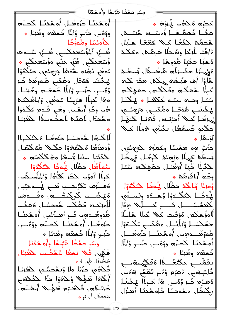ومَّم حمَّحًا هَبَّمًا وأُهمَّتَنَا

أَهِمُدَنَا جَزُهِ هَا. أَهِمُدَنَا كَجِبْرَهِ وِوَوَّمَنِ حَنُوبٍ وَٱلْمَالَّ هُمَعْدُو وَهُزْمًا \* للأوسُل وهُووُهُا هُــَـنُ ٱلمُؤَمِّعِدِكْـبٍ. هُـــنُ مُـــهِ ه ؤْسْعَدْكُمْ ، هُنَّىٰ جَنَّمْ ۚ هُؤُسْعَدَكُمْ ﴾ غَمُع لَاهُوْهِ ۖ هُنْهَا وِرُوهُ ﴾. حَكْثَةَوْا لمِحْتَمُ هُدَدًا. وهُدْبِ هُـووهُ\$ كُـ; وَّەُسرِ. دَّسر وْالْمَا كُعفْ و مُنْكل هِ وَالْكَبِمَا صَوَّىِسًا سَمِعُو وَٱلْمَحْسَمَ هُب وِجَٰ; أَحصَّب. وِقَبِي قَـٰومِ مَكْتَوْا وهُدْرًا ، إِمْكُمْ أُحِدُوسِهُا كَعُزْجُا لَّاكُدُهُ! هُوجِسًا جَوْوهُما هَكْكُبِرْلَا! ؤُهِ مِنُمُوا هَ لِهُ مَوْمٍ الْمَلَمِلا اللَّهُ عَنْهُ لَكُمْ الْمِنْ الْمِنْ لْحَكّْتُوا مِعْنُا وَّمِعْدَا هِ هَ كَكُمْرُهِ ﴾ مْدَامُرا. حمُلًا. بِنُوحُا كَنْݣُوْل كَبِلًا أَدْوُبِ لِكُمْ كَلاُّهُ أَوْلِلْلِّسِلَّفِ. ەَھسَەْمَ مُكْبُرْمَسِي شَمْسٍ فُسْسِمْكَيْبَ. ۇلمكسىپ كمگىقىسە . ەقىسەھب لْأُوزْنِيهِ تَـْمُكْبُ هُوْصِبًا. هُعَمُـب هُووهُـــووب كَــرِ ٱهـــزَلمِـرِ. أُوهَكْنُــل جَوْهِكِ). أُوهَكِئُما كُحِبْرُهِ وَوَوَّصَبِ. دَّىبِ وَالمُّا حُمْعُده وِهُذِمَّا \* ومئر حمَّحُل هُرُهُل وأوهَّدْنَال قَمِّي. قُلا تَعْعُلْ لِمَكْسَبِ لِكَعْبَيْلِ. ثَلاهُٯ حتُنًا هلًا وُبِمُحِنَّـهِ لِمَعْنَـٰلِ أَكْدُا شَهَّلًا وَكَدُوْا حَالَ كَثَكَرْهُم تَتَهُكُمُهِ . فَكَعْتَرِهِ مُعَهُّكٌ أَمكُنَّهِ . شحعد*اً او او او په* 

 $\frac{1}{2}$   $\frac{1}{2}$   $\frac{1}{2}$   $\frac{1}{2}$   $\frac{1}{2}$   $\frac{1}{2}$   $\frac{1}{2}$   $\frac{1}{2}$   $\frac{1}{2}$   $\frac{1}{2}$   $\frac{1}{2}$ هدُ الْمَعْمَدُ الْمُعْسَدِ هَنَدَ . هْجِعُمْ حَكَفُ كَحِلا حُقْقَا هُزُا. هُ/فَت لَموْكُل وهُمطُل هُرِهَكِ. هَكْكُمْ أَهْمَٰٓئِكُمْ اللَّهِ وَلَهُمْ ﴾ ەْئ ئاستىشىزلە ھەھىسكال ۋىيغىك هَٰلَوُا أَف قَنْمَعُهُ لِكُمْ. هَذَا لَكُمْ گراُا هُعكُده هكَككُنه. حقهگده مَنْا وَصْدِهِ مِنْدِ كُلْهَا \* لِمُحْتَا لمِنْسُم هُةشا ەھُنْسى. ەَرەشەر لْهَاهُما كَمِلاً أَحَرْسُهِ . فُقَاسًا كَتَنَهْمَا حكْدِهِ حُسِعُعُلْ. بِدُنُون وَوَلَمَّا حُبْلًا أأؤجعًا \* دَّمَرٌ وه همَّسُل وكَعَرُهَ كَرُوشَى. فَسِعَةِ مِنْ الْمُهْكُمْ مُدْمِنَهُمْ لَلْرِيدَ مُكْسَنَةٍ لِكُبِلًا حُزِا أَوْهُمْا. حقْهِكُدُ مِّمْا ودٌه  $\lambda$ فَزهَد \* وَّومُاْ وَلِمَكُمْ حَمَّلًا. هُوصُّلَ كَنْقَوْل |هُءكُــا كَتُكْــةوْا وُهـــةه وتَســأهر كعمَسْن لِ دَـــ مُــــــــــــ ( ١٤٥ لْأُدَوِّهِكُمْ. دَوْثَىت كَمْلاً كَمِلًا هَامِلًا همَّكْسًا وَٱلۡكَـٰا وَهُكَبِ كَتَّـٰقَوۡا هُوَوَهُـــووى في الْمَحْسُــا وَوَوهُـــا . أَهِ هَٰدَىٰلَ كُحِبَّوْهِ وَوَّهُ بِهِ مُنَ وَالْمَلَّا |كَعْمَدُهُ وِهُذْلُمْ \* سَقَمَـــم مَتَعَمَّـــــــمَّارَ مَقْكَمَـــمَّــــمَّــــمِّــــمَّــــمِّــــمِّــــمِّــــمِّـــ كَاتِبْتُ وَمِنْ وَمَامٍ مِنْ مُتَمَمٍّ وَمَاتٍ ەَھەر كَەز ۆەت، ھالگىنىڭ ئىگىنىڭ رِجْمِحُل. مِحْمَحِسُل خُلْمِحَمَىٰل ٱهْدُل.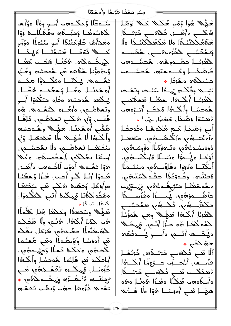ومَّم حمَّحُا هَبَمُّا وأُهمَّتَنَا

مُنْدَقَلًا وَجْكُدُهُ أُسِرٍ وَةُلَا هُؤُلُّفَ لَكْمْشُوهُا وَحَزَّــدُّه وَفَكَّـلُّلَــدْ وَْوَا ەھْكا)ُھُ; خَاوْكْنُىݣَا )ُــر مَنْثَماْ مَوُوْر كَـــــلا قُتمْـــــل هُـتـمُلْـــل هَهـحُـــلاً لِيُحْــهِ دُه، وُكْسُـل هُتّـــب كَعُــل وَُحَدَّةٌ وَزُمَا هَٰذُهُ وَ هُوَ هُوَ مُحَمَّدَةٌ وَهُنَّىْ ۖ تمْــه». لِكْتْـا هَكْــهْوْا هكَــه أُه هَٰذئا. وهُـا وُ هِعَدے هُتْـا. لِمَكْعَد هُدَمْتُه دَنُاه حَنْثُدَوْا أُسِر وتعطفُء في ه أهُنو محتمُده . وهُ ه كَتُبٍ وْ/ 5ْݣْبِ تْعَدْهُـْمِ. دُاقْـا هُنْبٍ أُوهُدُا. قَوْلُ وَهُومِنَهُ وأكْدَهُا لَا حُهْكُ هَلَا هَدَحْهَا. وْلِي . بِمِـشْمَعْـ الله بِصَـدْهِ مِـدَّسَـدِهِ. إمتُرْا بِعَكْكُم أَحْدُه مِكْلًا ، وَكَمَلا رَوْمَ الْمُسْمَلاتُ أُومُ لِلْأَسْمَرَ وَأَهْلِ: هُدوْا إِنَّا كُلِّ أُحْبٍ. هُـٰٓ: وَلَـهُمَّنَا ەوأَوْكُل وَصَعُبِهِ هُكُم هُم مُكَتَّقَا مَعْثُمْ تَلَامُ الْمَكْرِهَ الْمُكْمَوْلِ. ِ<br>لاَممُل ٿُ. ڏُل <sup>ي</sup> هَذُلا ومْعِعْدًا وِحُكْمًا هُنَا ݣَلْمَالْمَ هُٮ ষةُمَّا أَكْهُا. هُنُّم وِلًا هُصْفَ لِهُ هُنُواْ احظَرِدةُهِ, هُزْنَدا. بِهَكُو هْمِ أُهوَمُـٰا وِأَوُمِثُـٰهِ أَا هِ مَعْـُـٰهِ لَا تَكْدِرُهُ) مَكْكُمْ تَعِبُّلْا وَجَيْحِيْهِ، ٱلمكَّده هُم فَائَمَا هُوحسًا وأَكْدَهُا ٱ كُرُه مُسْكُرِهِ مَكْرِهِ ﴾ [موسم: 1]. وَهُوَ مِنْ الْمُدْوَى وَسَلَّمَ مِنْ الْمُدْوَى مِنْ الْمُدْ • وەۋەكەھىشى ھەتكەن ھىگدىئ تْغُمْلًا فُنُوهُا حَثُمْ وُلِّقَتْ نُعْقَّبُهِ

تَعَيُّمَ "دُوْا وَدًى مَحْكَمًا حَمَلاً أَوْهَا ھُكُبِ ہِ اُهُـــز. فَكُلُّهُـبِ تَـٰزُّــٰكُمُّا هْدَهُكَكْنُـدًا هِلًا هُدَّهُكَكْنُـدًا هِلًا ۇنقتشىم بالمۇمىھىپ، ھڭسىيە لمعُزئِكِ حقَّــوهِم، هَجِيئَــوهِ دُوْهُكُما وِكْمُدْهُ مَلْتُهِ . مَكْمَشْمُدُ دىئىللە ەھزۇا \* سَّرَّبِ وَذَكَره حَمْدًا مَنْتُ وَتَعَمَّد لحَعُنُهُ أَكْتُوا. حَعَيْهُ تَعْمَدُت هُوصلُما وأَحْدهُا وَحَضَرِ أَتَبَوهُ ەَ مَسْتَةَ أَوْهَيْجُلُ: مَرْهُدَوا). مِنْ الْمَعْ |أس وهُىحُا كَــم هُـٰذَهـهَـا هجّةححْـا ەأەكتەۋە دانكىھەشەر. مەتقىل |ەَوْەَسْسُەلمەھْك مەڭگەنىلىك دۇۋسىدە أُوْكُمَا هَ فَيُواْ هَ تَسْبُلُا هُ ُاخْتُسْتُوَهِ. أَخْتَـا وَوَوْا وَفَاوَّكْشُوهِ وَحَدَّدَاً ەَدَىْنْىە. وِخُـەرْكُمُّا ھِـقُـە كْسُلَىھْم. سمرقتره وهفلم فينهم لمتفتده حَكْتَنُرْ - هُوَى مَعْ - هُوَى مَعْ - شَمْسَ - مَعْ - شَمَسْ - مِنْ مَسْرَة مِنْ مَسْرَة مِنْ مِنْ لحَعُنِنَا أَكْتَدَا مَحْهُلاً وِمَعَ هُوَوُسًا لمُحْرِهُ . إِمَّا أَنُّه حَامَلَهُمْ مَعْكُمُ ه مَ اللَّهِ عَمْلَهُ مِ أَمْسِرٍ فَي حَدَّثَتِهِ مِنْ عَلَيْهِ مِنْ مِنْ عَلَيْهِ مِنْ ∥مدهٔ لمصٌ \* ٱلْلا شَبِ ۚ شُلاةَ ٮ شَبْكُلُهِ ۚ وَ تَنْتُمُ ا فَنْسِم، ٱلمصنُّد حسوُّوذًا ٱلْحُسْوَا وأسكوهم مُكْلًا وهُدُا هَومُا وهَو كُوْمِـا هُـــو أُومِـُــا هُوْا ولَا فُــزَىــا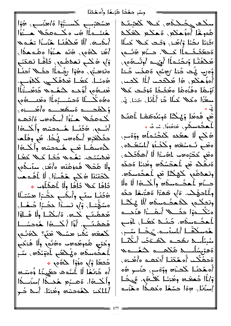ومّم حمّحُا هَبْمُا وأُهمّتِنَا

مَسْمَنُوبِ كَسَنُوْا دَامِنُوبِ. هُوْا هُبْئُداْ هُد مِنْكُدْهِكُمْ هِدَّزُّا أَحْمَده. أَلَّا هَٰكُفُـٰل هُنُوجُل عَصْمَـٰدَ أَهَٰذِ لِحَوْهِ. وَهُ مُعَ وَّزُا وهُ مِمْ ابْ وْ﴾ هُكُب تَعْدَهُوهِ. كُلُقَا تَعْتُبْ ەللاھىتُى. دەۋا رېْــەلَمَا ھېــُــلا آھىلَـا ھُوسُما. كَعُسَا مْدَفَكَسِي كَدْوْسِي. هْسِيُّهِ أَوْجِدِ حَيْفُوهِ جُرْمُنْتُهَا وەڤ كْكْسْلا ھَ حَسَّـــوْمِهْمْ لِلْكَسْمِرْ مَنْ مِنْ وَلِحَقَّحَـــــــه مَسْعَعَــــــه ، أَهَـــــــزه . كُـ2هكُـلا هـزُوًّا أَسلَموهـ وَأَتْهـ أَنَّـــم، هُكَنُـــا هُــــوحـتمو وأَلَحْـــهُا حثُلُغْتِرِم أَحدُّده لِمُحَا. هُم وِقُالِعا لأوسعُا هَبِ خُـوصْهِ ۚ وَأَكْـِهَا مْحَمَّمْتُد. تَعْدَد دُمَّا كَلا كَعُل وِلًا هَٰتُـلا هُـودُهُنْه ه}هُز. سأسلُّه َكْتَنْنْا ۞ْكُم هُقُتْ;ا. لَا £ْقُـەھ دَّاهُا حُلا دَاْهُا وِلًا ـاْعِکْلُوْب \* هُكْبُا مِنَّع وأَنكُب حَثَّةِا هِمَّتْنَا ەمَكَوْسَا. وْلِ تَسْــْلْ حَصُّـٰٓا صُّــَّا. هُدهَنَبِ كَــْهِ. هُ/مُكْسًا وِلَا هُــاوْٓا فُهمَّنَـــ أَوَّا أَكْــــهُ هُوصُـــا لَكْمِعْدَهُ يَكْمَٰ; هَسُلاً قَتْبٌ؛ لِكَهُنَّـهِ وكْتُنْ هُدْوِهُدەت دەشْر ولَّا فُبْكُمْ لِمَدُّدِمِنْدُهِ وَيُمْكِنُمْ لِمُوَيُّدُهُ مِنْدِمِنْدِ حُدهُا وَ) وَوَّوَا لِهِ وَهُ وَ أَه كَانُهُا لَا غُنُده حَكَيْ ذَا وُّوسْه وأكثران ةهبؤه كمحلأا إسأكا ٱلمَلمُد: حَمُّوصْنَه وِهُزْدًا. أَسْمْ ضُر منْتِ كَمَنْتُ الْكُمْ . مَا مَكْتُ لَكُمْ مَكْتُ هُومِمْٓا أُوزُهكُمْ. هُمْكُمْ كَعْكُمْ ادًائا لحُبًا وْاهَدْ. وْتْت كْتْلَا كْتْلَالْ هُحعَكُمُدُّے الْمَسْمَلَا عَسَمُوا مَنْسَمِ هَٰٓدُهُتُـا وٖۡىحُنُـٰه آَٰا ٰ اُۤیۡ؎ اُوتُـُـدُّہ} . وَّەن بِكُت خَاءْ رُهِنُه كَوْمَ حَاءَ أُوزُهكُمْ. 1⁄8 هُكْتُحَبّ أَلَمَّا ۚ كَلْحَبّ. أَوُّىعُل وقُنُوهُل وهُدَّىدُل وُوْثَىت كَمْلا معكُزُا مكلا كَملًا جُز ٱلْمُلْ. رَدَّيَا. بُّ. هْمِ فُوهُا وَٰهُكُنَّا هُوٖىُثُوتَفَعْدَا ۖ اُهنَـٰهَ **أَلْحَدُدْدِيدَ الْجَرْءِ** . هُدَهُدَوُّلَ الله عَلَيْهِ وَ شُكْمِ لَا حِكَدَ كَلَدَّتَهَاهِ وِوَّەَتَّ ەقىم ئىمىئىخەم ولمْنْسَارۇ آلمىمكىلەر. ەھْم كْتْبُوەم لمۇتْرَا لَا أَهِكُكُمْ. ەُىكَىدە ھُم مُقتَسَمُه وِهُزْمًا ەَدْھُە وتعددُه كَدِكْتًا هُم لِمُحْدَمِيكُه. حَسَنُور أَحْشَيْدِمِيهُ وَأَجْلَاهُمْ اللَّهُ وَلَا وِٱلْمَحِيَّكِ. ۞ هُڪَرَا وَصَّيْعًا حَكَم وتصِحْـــم حكْـمصْــمىكْت مْلَا لِمِحْتَـا مَتْكُورًا حثَّى أَحفُ أَلْفُ الْمَحْد أهدُ ومذَه. ضَنُمْ كَعُمْا. لمْوَج حُومِكُوْ الْمُعَامِنَ الْمُعَامِنِينَ وَالْمُسْتَوَاءِ وَالْمُسَامِنَةِ وَالْمُسَامِنَةِ وَالْمُسَا سُبِئاً كَلْمَ سَعْدَتْ كَتَفْ تَمْتَوَكَّب أَنْتُكُسَلَ ەقئېسُلگىك ھىلاھىسى ئىشسىمىلا هُحِفَتُكِ أُهِ هَٰتِنْنَا أَاتَكِعِبُهِ هِ أَهْتِنِهِ . أُوهَكْنَا كُحِبْرَه وِوَوْسِ حُزْمِرٍ وَّهُ ا أَوْلَمَا كَعْقَدِهِ وِهُنَا كَلَكَةٍ. يَحِكُم إِسْتَمَاءِ. وَوَا حَمْعًا وَحُصَدًا وَهَّتَنَ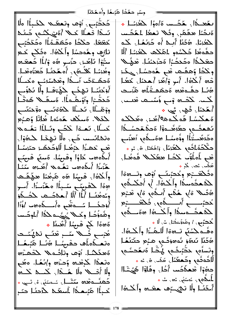ومّم حمّحُا هُبْمُا وأُهمّتِنَا

كُتْتُبِّب. أَوْهَا وِتَعْقَبُكُمْ لَكُتَّبِئًا وَلَا سُمَّا صَمَّا كَــدَ الْمَتَّى كَــدَ الْمَـدَ كَعْعْدَا. حَكْدًا ەكْتْفَـمُلًا ەكْتْدُمْ-ب ثارُكِ وِهُوصِمًا وأَلْحُدًا. وثُكُم كُنْع مِتَّةُوا تَأْهُدِ: حَنُّبِ هُو وَٱلْمَا كَعِعْدِهِ وِهُ;ئَـا ۚ كَلَّـٰهَى ۚ أُوهَٰدَنَٰا ۖ خَعَةُوهَـا. هُحطَّـةَكَ أَسْـدًا وِقَدْمَدْتُ هُ مَكْسَلًا أُوْكُنُنَا تَهْكُم حَهَّرَهْـا وَلَا نُحْوَّى كُحثُــْرا وأوُعفُــماُا. ەَحىفَـــلا ھَەتْــا ووْقْسْلَا. تَحْسَلَا حْتَوْقْتَى وَوْحَنَتَى لِلْمُلًا. ةَسْلُفْ هُوَيُّوا هُرَاتَا وَهِءُمْ حُماً لِي رَحْمَةِ الْكُتَبِ وَسَالَمَا تَعْسَمُ ەتكلئىس كَــى. ەلَّا تَـهْـدَا ـلَــەُوْلِ. هَــم كَــهــزًا حَرِّهُــا لَّاوَحُـحَهُــز حمّزمُــا أَلَّكُوهم كَاوُا وِقْرِيبًا. هُنْ فَرِيمًا هَّنُواْ أَمِلُهِ ٥٥ تَهُدِيهِ أَهْدِهِ مِنْدَا وأَلكهُ!. فَرِبُمَا هُو هَرِهُنَا مِدْهَٰتُ هِهُا لِحَقْمِيمَ سَنِيلًا مِعْنُسْزًا. أَسو وحُوهُنَا أَلَمَّا أَلَمَّا أَحْدَثَتَ حَدَّـذَهُو أَوْحِكُمْ سَمْعَتْهِمْ وَأَمْسَلُوهِ وَالْوَٱلْمَ وهُووُكُمْ وِكُمْلاً يُرْجُمُ كُمُرًا ٱلْمُوكَّسَ ەُھەُا كُمْ فْمِهْا أَهُمْلَا \* هُتِمِب فَسِيلًا مَنْسِمٍ قَعَلَى لَمْلَهُمْسَتِ ەتمــكەگ دەممىــا ھُنــا ھُئِـمْــا ەَھكَكْسًا. ٱوْمَا وِتْلَقَّـه لاَ لِكَتْمَـرْو ەتمىدا كىرتىدە ۆجەھ وإنىغىل ەھّى وِلَا أَحْسِلا مِلَّا هُــدًا. كَسِيم كَسْمِهِ كُهشُــه مُعْم مُنْتُـــا. شَــه مُنْ فَي تُلب و حْرِمًا هَرُحِكًا لْمِعْجِ جَرْحِبًا حَتَّرِ

بِمَعِيدًا. مَدَّـب هَ/هُوا لَحَقَّ: أ ەْبِدَٰءُ مِفَعَنِ وَثَلا تَعْمَٰلَ لِمَّجَّـب لِكْتَنْ. 2ْكَنْا أَبِيا أُو كَرْتُ**م**َا. كُو دفَّەهُا كَحْشَەو لمكْحْمَد حْهُزْسًا ٱلْل حِعْدَهُ! وَحُدَحُهُ! وَحَبْدَتُنَا. قَدْئُكُمْ الْمُحْمَدُ وكُلُّ وَهِقَيْمٍ هُوَ مِنْهُمْ وَيَقْمَلُوا فِي الْجُكْمَ دْهِ أَكْلَهُا. أَسِ وْاهُمْ أَحْدَا. كَعُدا هُنُـا حَفَّـهِ هُو هُجِعْهِـةُ أَنْ هُزُمِـد كُت، كَثَنَه وْبِ وَمُنْتَ قْسَبَ. أَأَهْدُا. دُبي. شَيْءَ ەھكىسا قەكمەھ أەد. ەھلكە تُهمنُــم، حمَّاهُـــموَّا هَحمَّـمَــمُـــمُّا وَحَاهُدَتُهَٰاْ وِؤُومُنَا ۞هَــِدُومِ ٱهْتُبِ حَنَّكُمُ اصُّع لِمَعُزْمًا . وۡافَعُثَا . هُ . تُرِ م قَبِ لَمَاٰوَّں كَدًا مِعَكَــلا فُومُــا. مُكلِّفٍ. ئُصْ. كُمْ \* ەڭلاشىزە وڭتۇملى اۋى وتىدەۋا لِلْمُعشُوسِكَا وِأَحْدَثَا. } أَصَحْبُوْهِ شَكْلًا ثَارٍ هُدُّمٍ أَسَدُّهِ ثَارٍ شَدِّم حُدَّ ہے اُسٹنگُوں کُلاَقْسِ ٓءِمِ<br>لگاہشُہ ممال واُلمُسٹاہ ( ہوَ سگُوں لُكْكَرُمِي. / وِهُوَقِّىلاً مَا. ق. لَا ج ەڤَـەكْسُمُ نَـەەْا لَّاحْـُ َٔا وِاَْكْـەْا. هُكُنُا نُنهُوَ نُهِ هُوَدٌه حَجْمَ حَنْنُهُا رمشَعفة لَكُنُّ رمكْ بِكُتْ رەلْسَاءِ لَّادُدْنُوم وِحُمْعَكُمْلْ. مَٰذَابَ شَيْءٌ \* دەُوْا ھَمكَكُب أَكُل. وِقَاوْا هَيُسْال أَمْلَاهِ بِ شَمَنُ بِ مِنْ مِنْ مِنْ الْمَسْمَلَ أَمكُنا وِلَا تَجْبَعَتِ حَمْدَه وأَحْدَهُ!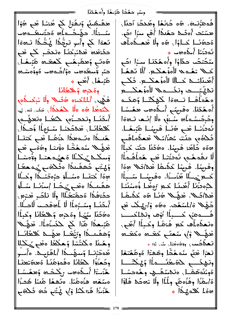ومّم حمّحُا هُبْمُا وأُهمّتِنَا

هَقَيْفَيْغَ وَيَحْقِلْ لَمْ هُزْئَا هُمِ هُوْا مَّــ;اًا. حجَّمثَــهأه هَجَّمعَـــه لَّعْدَا ﴾ وأَسِ نَرَّجُّهُا هُنَّكُمَّا نَـْهَءَا حكَّاهُه هُمْبُهُمُا وَتَحْدِ كُلِّ هُلِّ هَٰۥَٮۡ ۚ وَمِعۡہِمَـٰ ٖ كَمِعۡـُـٰ هُہُـمَٰـٰ۔ كِمْ وَمُعَكِّدُهَا وَلَإِكْتَدَهَا وَوَوْقَعَدَه هُبُما. أَهُم \* وەّىترە ۆيلاھگائا فَنِّي. ٱلْمُلْكُنزِه هُضُلًا وِلَا خُرِكَتِيْهُمْ كُنُوهُا 60 ولًا كَمُحَمَّاً. مَمَّد قُونَي أَحَنُا وِتَحَدُّونَ لَاتَعُنَا وَتَعَوُّدَتِ لْمَعْدَاسًا. هَدَخَمْسًا سَوْعِلًا وَحِـدًا. هَـــدًا مَـُـــمحدًا حزُهُــا هَـــم كَتتَــا هَدُلًا مُعَمُّثًا هَوْسًا وِهُمَّے هُے لمشوش لمتمصرهم فالكرز فكمحموش بَنْهِم رَوْسَهُ أَمْدَعْمَهُ بَنْهِمْ ﴾ هِوَٰا كُتِنْسَا مِمْسَلُو حَرْمَقْنَـٰهُا وِكْسَلَا هِهَْسِـدًا هِمْــمِ كِحُــا إِسْتَنْـا سُــأَةِ حكَتِفُدُا هَحعَّتَعُـْلَاا وِلًا تَاكَـرٍ مَّـثِرِمٍ. أَحْنُـا وِمَــزُه أَا لَم هُـمَـــ لَاحــُلا. دەكئا مىلى وەخ ھېرى كېدا هُبُعِدًا هُٰٓ;ا کُمْ حَدٌّ بِّهِ أَا. مَوْجَعًا وَهفَسِـدًا وَرَتُهْبًا مِدْئِـدٍ كَلاهَابُــا وللكنرض متحاكم أستنكره لنستمع هُدتَبُسْا وُسهُماً ٱلمَّتَىِـدْ. ەٱسىر وكَعْزُوا ۖ لِكَعَائِلَ وَهُوَ وَعُبُلٍ وَهَدَهُ تَعْتَبَا هَّزْمِيَّا أَمِكُوهِم رَبَّكُمْوهِ وَهِمَّسُل مِنْعْمٍ فَزْوَهُمْا. وَنُعِعُلِ هَٰبُنَا هُجَزَا هَّنُنُّا هَٰذَا كُمَّا وْلَى لُهُّتَى حُثَّ شَكْشَى

فُوهزُنْيه. وَه دُرْيُهُا وِهُدِهُمْ أَصَلًا. هِمَّتُت أَوَضُمْ حَقَلَهُ! أَفْ سَرَا آَبُ. ەَحەەُنَـا مُـَـاوُا. ھَە وِلَا ھُـعَــكَاهدَكَ انٌددُنُا أَلَّكُوهِ \* مَكْتكَب حدَّادُا وأُه هَذَنا مدُا اكَبِ كَمِلًا تَعْدِيهَا لِأُوزُهِكُمْ. أَلَّا تَعْمُلُ أَهُمبُلَيْكُمْ حُسَالًا لِلْمُؤَجَّسُكُمْ. فَكُنْتِي تَكْلِيَبُ وَتَشْبَعَكُمْ لَأُوَوُّهَكُمْ يَوْ معْمَلْقَا تَسْمَهْ الْكَمِكْتَا وُهَكُــه أُهِ هُنَّتْلَا. وَقَرِيبٌ أَسْلَاهِ مِنْ مَعْسُلًا وَحَرِجَيشَـهِ أَرْهِ وَمَنْ وَلَا إِنَّــهِ نَــْ169 تُددُسُا هُبِ هُسُا فَرِجُسا هُرُسُا. ثَلاةُه حنّت مُعْزُّسًلا شَعْدُه!قُب ههُه كُلِّغْ: فَرِبُما. هِهُكُمُّا حَنَّتْ كَرِلًّا ِ لْا بِفُوهُو لِلْمَوْسُولِ مِنْ الْمُولُو الْمُولَى الْمُولَى الْمُولَى الْمُولَى الْمُولَى الْمُولَ وقَوِيمًا. قَوِيمًا كَذُلِّكُمْ هَٰذَاتَكَ 10% كُمِينَ الْمُؤْسَنُولَ وَهُومِنَا مُنْسِرِيًا ِ الْأَمَانُ مَعْ الْمَعْمَلُ الْأَسْتَ مَعْ الْمَعْ *وَقْعَةَ الْأَوْمَنْتُ* هَدَاكَــلا. مَدْيُــلا هُنَــاً هُو كَذَّمَـطُـا كَوْلًا ةَالْمُنْعُف. هَ هُه وْارْلِيْكْ شْ فُــــــومَـُو كَـــــــرِـدًا أَوْهــ وتَـمَلَكُــــــــز ەتعكەلُّ كە قُزْهُا وِكْبِلًا أَهُى. تَعِيثُمِ الْإِلَى مُعْصَبِ كَفَسِهِ مَكْفَسِهِ لْبِعِيكُمُحْمَدٍ ، وَوْهُءَهُدًا. مِنْهِ، يَّالِ م ثمرًا هُنَّ مُدَهُنًّا وقَعَنْا هُوهُمْتَهَا وتهكّب حقّمتُك أحدّ ەُومُتُوتقىشل. ەنكىككى و ھُەجسُل ةُاعِقُوًّا وِقُوْدَهُمْ وِلَمْلَا وِلًا ءَدِكُمْ قَاوَّا \* lAJON Lóon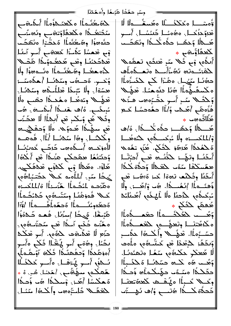ومّم حمّحُا هُبْمُا وأُهمّتْنَا

لِمَعْشَمِلَا مِكْعَنِكُوْمِلَا أَيَكْتُ مِنْ مَكْتَعُــدًا مكْعَفَاؤَتَّةَبِ وِنُعَنَّى حِنُّوووُا وِرَهُ حَفْيُهِ أَلَّا هَجَدُّمْ! وَنُقَضَّبَ وْمِ هُـمسُا مُكْسُرًا كَـعَـْهُم أُسو أَسُـا هَٰٰہُکۡدُنُـٰا وِهۡـ مَحْمَدُومُ۪کَا مَّصْـٰلًا لأوحكا وهمكنا مأا ونووؤا ولا وُكْتَبْ، هَجْتَهُتْ وِمُكَانُتُنَا أَنْعَكُمْمَتْ: همّةاً. وِلَا مَّبِحُل هَلِلَّكُمْ وَمَكْلًا. هَوَْـــلا وِحَمقُــا مِـمُحــدًا حقب ملَّا مُبِيكُبٍ. هُ/َ هَـَــدُّا أَيْدَ ــِ ثَهْ هُبَ وِثَلا َهُم وَ كُبرٍ هُم أَبِكلُك لَا هجَـٰٓءَت هْمِ سَهّْبُدًا هُـدَوِّىْد. وأَلَّا وَحَدْثَهُـِـرَه وكُكْسًا. وهُا مُكْشَلُ أَيْلَ. فُوصَبِهِ الأُدزند للمُدهوم حُرجُــع لمُدبُرُسُــا وَحنَّنتُمَا محَمَحكُم مَنْدًا مْعِ ٱلْحُرَّا حِيحًا مَيْنِ ٱلْمُلَّەتِ كَمِلا حَجَّتَبُهُاهُو وهَّوْجِدِ الْمُخْتَمِلُّا هُنُوْجِرُلًا وْالْمَلْكُمْبُوهِ كْلا فُوهُنُا وِمُتُنَاهُو كَلْنُصُواْ هَجعَهُ وِمُنْــــماُل مَجمَّمَا فَـــماُل اوْآل هَّزْمَهْلْ. هَيجًا إِسْزَيْلْ. فُعِيهِ كَلاهُؤُا معَّنُو حُكْمٍ آمِكُمْ هُمٍ مَحَتَّمِيڤُورٍ. دَٰ;هِ لَا شَدَّمْتُود حَدَّى. أَمر شَكَّهَ بِحۡنَا. وٖہُہۡیٖ اُس لِمَقۡنَاا شَکَےٖ ہاُسو أُهوَهَٰدِهُا وَحَـفُـعتَىٰهُا ثَـكُـ﴿ أَوَّــقُــمَـٰلَ سُلمُوْٗ أُسِي بِيُّوْسَا. ۞ صَبِ كَحْكُمُّاْ هُكِنُكُمْ سَؤُقُوبٌ لِمُحَمَّلَ قُبِ ۚ ۚ \* ەْھكْسْلا أْهَدْ. ۋىيىلىدا ھْب ۆھىدا لِمَعْفَلا دُاتِّرُهِ وَأَكْتُوا مَنْدَا.

وُّوسْهِ مِكْتَحْفُ لَا وَهُبِيقُ وَلَا لَٰا ھْدۇجۇڭل دەھىلە كېئىسل آسىر هُـــدُلُّا وُحمَّــ : حذَّه تُـــدُّا وِنُقَحَّــب **ێڡڡٞٳۊؙۭ؞ۿؠ** أَلَدُّهِ ۚ وَمِ ثَلا مَرْ شَلْتُم تَعَقُمَلا للقزئــدتم نَهُنُزُنَـــد دتعــدَه أَف دەُنا مَىْل. ەھْنْا كْم حْكْتُوماْ ەڭسفَىۋەلُا ھُىُا ئىھىمَا. ھَۇْلا وَلِكُما مَمْ أَسو لِمَشْرُه هِ عَلَيْلًا فُزْهِكُمْ أَهْلِمَا وُٱلْمَا حَقَّوْصُلًا كُلْعَ | هُلَاتُه هـ \* هُـــــــــالُّا وَحمَّـــــز حدُّه تُـــــدُّا. هُ/ف وْالْمَلْكَمِسْزَةَ وِلَّا مُرِكَمِسْلَاةٍ لِكُمْقَوْسَاتِ هَ لِلْمُحِدًا هَٰدَهَ ۚ لِأَشَكِّلِ ۚ هُنَى تَمُّدِيَهِ أَحْنُـا وِنَهُــز حَذُبُـره مْــح أَحَزْنْـا همّىتْكْفَا مَمَّە ۖ كَعْكَلًا وَحِذَّة كُكُلًا أَمِكْنُا وِثَكْلُّفَ نَـْ169 كُنْزَ كَاللَّاسَرَ شَيْ وَّهِنَّــهِ أَا إِنْـهُـــدًا. ۞ وَاهَـــز. وِلَا مُبْكَنِكُمْ بِكُلُوا الْمَ الْمَحْكَمِ أَهْتَنَاتُكَمْ لَهُمْ الْمَسْتَمْتَ |مُعمَى حدَّكَى ﴾ وَهَـــه حَقَّــْـماُ حَقَــه أَمَّا مكرمُّتتْكِ وِتَعِيُّدِ حَقْمَكُما حِسَّرُه أَلَّ. مَحَمَّـــهُ وَأَحْـــهُ الحَمَّـــرِ وَّىكَفَۃ حَبْعَدَا مَى كَىتَنَبُّهَى مَأْمَتَ لًا هُعنْكُمْ حَكْمُهُمْ مُنْعُمَّا هَتْعَنُّوَنُـا. حكَكْمًا مَمَّــَفَ حَكِّمَـكُــهِ لَه وَّحــكَا وكملا كبراًا ورضَّفَ ها كَعدَّة تعلَما كَحِدُّة كُـــدًا هُنْــــع وُاف نُنْجَـــتِّب